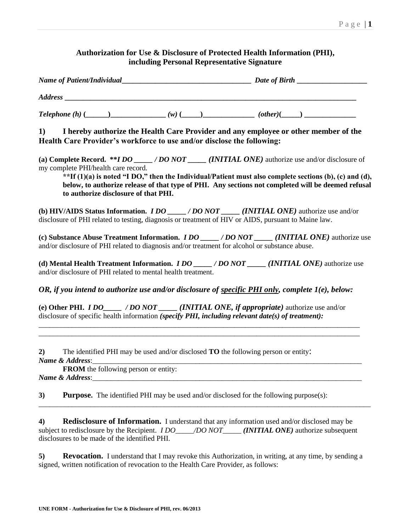| Authorization for Use & Disclosure of Protected Health Information (PHI),<br>including Personal Representative Signature |                                                                             |                                                                                                                                                                                                                                                                                                                                             |  |  |  |
|--------------------------------------------------------------------------------------------------------------------------|-----------------------------------------------------------------------------|---------------------------------------------------------------------------------------------------------------------------------------------------------------------------------------------------------------------------------------------------------------------------------------------------------------------------------------------|--|--|--|
|                                                                                                                          |                                                                             |                                                                                                                                                                                                                                                                                                                                             |  |  |  |
|                                                                                                                          |                                                                             |                                                                                                                                                                                                                                                                                                                                             |  |  |  |
|                                                                                                                          |                                                                             |                                                                                                                                                                                                                                                                                                                                             |  |  |  |
|                                                                                                                          |                                                                             | 1) I hereby authorize the Health Care Provider and any employee or other member of the<br>Health Care Provider's workforce to use and/or disclose the following:                                                                                                                                                                            |  |  |  |
|                                                                                                                          | my complete PHI/health care record.<br>to authorize disclosure of that PHI. | (a) Complete Record. ** <i>I DO</i> _____ / <i>DO NOT</i> _____ ( <i>INITIAL ONE</i> ) authorize use and/or disclosure of<br>**If $(1)(a)$ is noted "I DO," then the Individual/Patient must also complete sections (b), (c) and (d),<br>below, to authorize release of that type of PHI. Any sections not completed will be deemed refusal |  |  |  |
|                                                                                                                          |                                                                             | (b) HIV/AIDS Status Information. <i>IDO</i> ____/ <i>DONOT</i> ____ <i>(INITIAL ONE)</i> authorize use and/or<br>disclosure of PHI related to testing, diagnosis or treatment of HIV or AIDS, pursuant to Maine law.                                                                                                                        |  |  |  |
|                                                                                                                          |                                                                             | (c) Substance Abuse Treatment Information. <i>I DO ____/ DO NOT ____(INITIAL ONE)</i> authorize use<br>and/or disclosure of PHI related to diagnosis and/or treatment for alcohol or substance abuse.                                                                                                                                       |  |  |  |
|                                                                                                                          |                                                                             | (d) Mental Health Treatment Information. <i>I DO ____/DONOT ____(INITIAL ONE)</i> authorize use<br>and/or disclosure of PHI related to mental health treatment.                                                                                                                                                                             |  |  |  |
|                                                                                                                          |                                                                             | OR, if you intend to authorize use and/or disclosure of <u>specific PHI only</u> , complete 1(e), below:                                                                                                                                                                                                                                    |  |  |  |
|                                                                                                                          |                                                                             | (e) Other PHI. <i>IDO</i> _____ /DO NOT _____ ( <i>INITIAL ONE, if appropriate</i> ) authorize use and/or<br>disclosure of specific health information (specify PHI, including relevant date(s) of treatment):                                                                                                                              |  |  |  |
| 2)<br>Name & Address:_                                                                                                   | <b>FROM</b> the following person or entity:                                 | The identified PHI may be used and/or disclosed <b>TO</b> the following person or entity:                                                                                                                                                                                                                                                   |  |  |  |
| 3)                                                                                                                       |                                                                             | Name & Address: <u>Communications</u> Contained by Address Contained by Address Contained by Address Contained by Address Contained by Address Contained by Address Contained by Address Contained by Address Contained by Address<br><b>Purpose.</b> The identified PHI may be used and/or disclosed for the following purpose(s):         |  |  |  |
| 4)                                                                                                                       | disclosures to be made of the identified PHI.                               | Redisclosure of Information. I understand that any information used and/or disclosed may be<br>subject to redisclosure by the Recipient. <i>I DO____/DO NOT_____ (INITIAL ONE)</i> authorize subsequent                                                                                                                                     |  |  |  |
| 5).                                                                                                                      |                                                                             | <b>Revocation.</b> I understand that I may revoke this Authorization, in writing, at any time, by sending a<br>signed, written notification of revocation to the Health Care Provider, as follows:                                                                                                                                          |  |  |  |